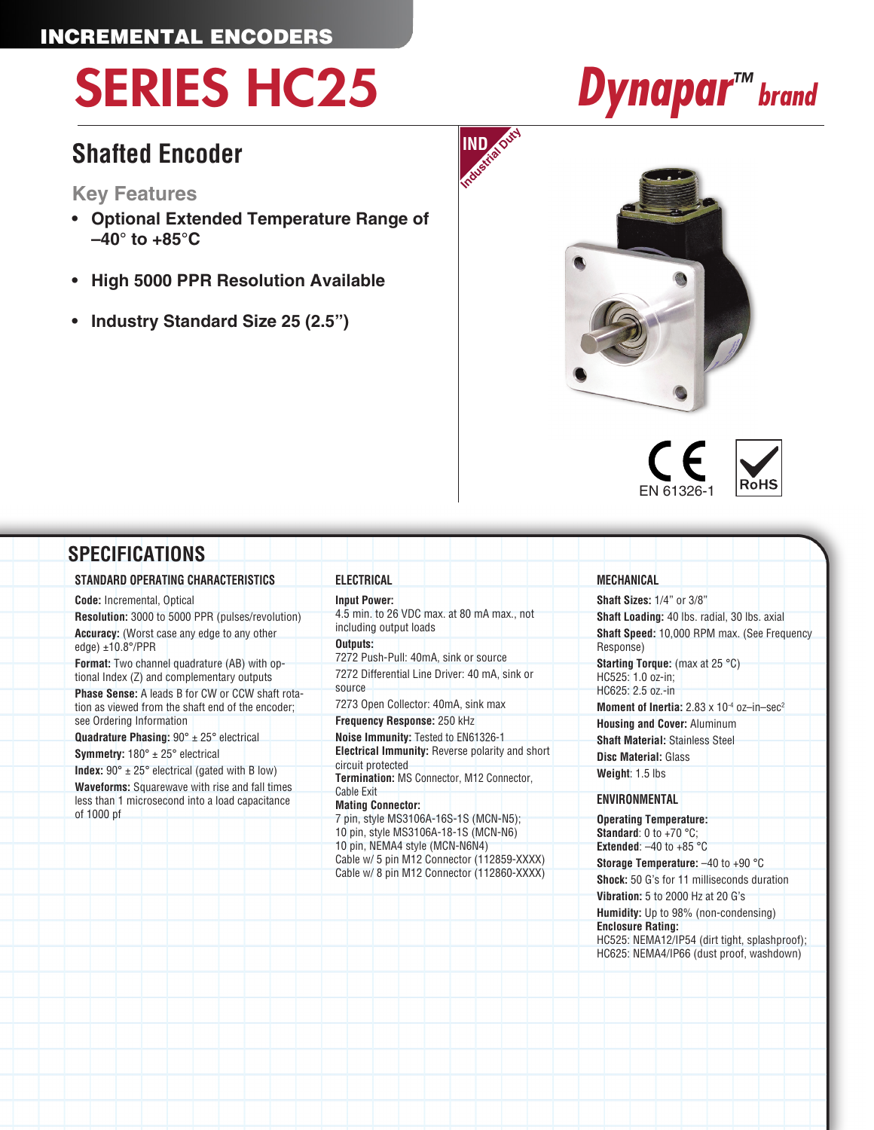### INCREMENTAL ENCODERS

# SERIES HC25 *Dynapar™ brand*

### **Shafted Encoder**

### **Key Features**

- **• Optional Extended Temperature Range of –40° to +85°C**
- **• High 5000 PPR Resolution Available**
- **• Industry Standard Size 25 (2.5")**







| <b>SPECIFICATIONS</b>                                                                                                                                                                                                                                                                                                                                                                                                                                                                                                                                                                                                                                         |                                                                                                                                                                                                                                                                                                                                                                                                                                                     |                                                                                                                                                                                                                                                                                                                                                                                                                                                        |
|---------------------------------------------------------------------------------------------------------------------------------------------------------------------------------------------------------------------------------------------------------------------------------------------------------------------------------------------------------------------------------------------------------------------------------------------------------------------------------------------------------------------------------------------------------------------------------------------------------------------------------------------------------------|-----------------------------------------------------------------------------------------------------------------------------------------------------------------------------------------------------------------------------------------------------------------------------------------------------------------------------------------------------------------------------------------------------------------------------------------------------|--------------------------------------------------------------------------------------------------------------------------------------------------------------------------------------------------------------------------------------------------------------------------------------------------------------------------------------------------------------------------------------------------------------------------------------------------------|
| STANDARD OPERATING CHARACTERISTICS                                                                                                                                                                                                                                                                                                                                                                                                                                                                                                                                                                                                                            | ELECTRICAL                                                                                                                                                                                                                                                                                                                                                                                                                                          | MECHANICAL                                                                                                                                                                                                                                                                                                                                                                                                                                             |
| <b>Code:</b> Incremental, Optical<br>Resolution: 3000 to 5000 PPR (pulses/revolution)<br>Accuracy: (Worst case any edge to any other<br>edge) $±10.8^{\circ}/PPR$<br>Format: Two channel quadrature (AB) with op-<br>tional Index (Z) and complementary outputs<br><b>Phase Sense:</b> A leads B for CW or CCW shaft rota-<br>tion as viewed from the shaft end of the encoder;<br>see Ordering Information<br><b>Quadrature Phasing:</b> $90^\circ \pm 25^\circ$ electrical<br><b>Symmetry:</b> $180^\circ \pm 25^\circ$ electrical<br><b>Index:</b> $90^\circ \pm 25^\circ$ electrical (gated with B low)<br>Waveforms: Squarewave with rise and fall times | <b>Input Power:</b><br>4.5 min. to 26 VDC max. at 80 mA max., not<br>including output loads<br>Outputs:<br>7272 Push-Pull: 40mA, sink or source<br>7272 Differential Line Driver: 40 mA, sink or<br>source<br>7273 Open Collector: 40mA, sink max<br>Frequency Response: 250 kHz<br>Noise Immunity: Tested to EN61326-1<br><b>Electrical Immunity:</b> Reverse polarity and short<br>circuit protected<br>Termination: MS Connector, M12 Connector, | <b>Shaft Sizes: 1/4" or 3/8"</b><br>Shaft Loading: 40 lbs. radial, 30 lbs. axial<br>Shaft Speed: 10,000 RPM max. (See Frequency<br>Response)<br><b>Starting Torque:</b> (max at 25 $^{\circ}$ C)<br>HC525: 1.0 oz-in;<br>HC625: 2.5 oz.-in<br><b>Moment of Inertia:</b> $2.83 \times 10^{-4}$ oz-in-sec <sup>2</sup><br><b>Housing and Cover: Aluminum</b><br><b>Shaft Material: Stainless Steel</b><br><b>Disc Material: Glass</b><br>Weight: 1.5 lbs |
| less than 1 microsecond into a load capacitance<br>of 1000 pf                                                                                                                                                                                                                                                                                                                                                                                                                                                                                                                                                                                                 | <b>Cable Exit</b><br><b>Mating Connector:</b><br>7 pin, style MS3106A-16S-1S (MCN-N5);<br>10 pin, style MS3106A-18-1S (MCN-N6)<br>10 pin, NEMA4 style (MCN-N6N4)<br>Cable w/ 5 pin M12 Connector (112859-XXXX)<br>Cable w/ 8 pin M12 Connector (112860-XXXX)                                                                                                                                                                                        | <b>ENVIRONMENTAL</b><br><b>Operating Temperature:</b><br><b>Standard:</b> 0 to +70 $^{\circ}$ C;<br><b>Extended:</b> $-40$ to $+85$ °C<br><b>Storage Temperature:</b> $-40$ to $+90$ °C<br><b>Shock:</b> 50 G's for 11 milliseconds duration<br>Vibration: 5 to 2000 Hz at 20 G's<br><b>Humidity:</b> Up to 98% (non-condensing)<br><b>Enclosure Rating:</b>                                                                                           |

**IND** 

**Enclosure Rating:** HC525: NEMA12/IP54 (dirt tight, splashproof); HC625: NEMA4/IP66 (dust proof, washdown)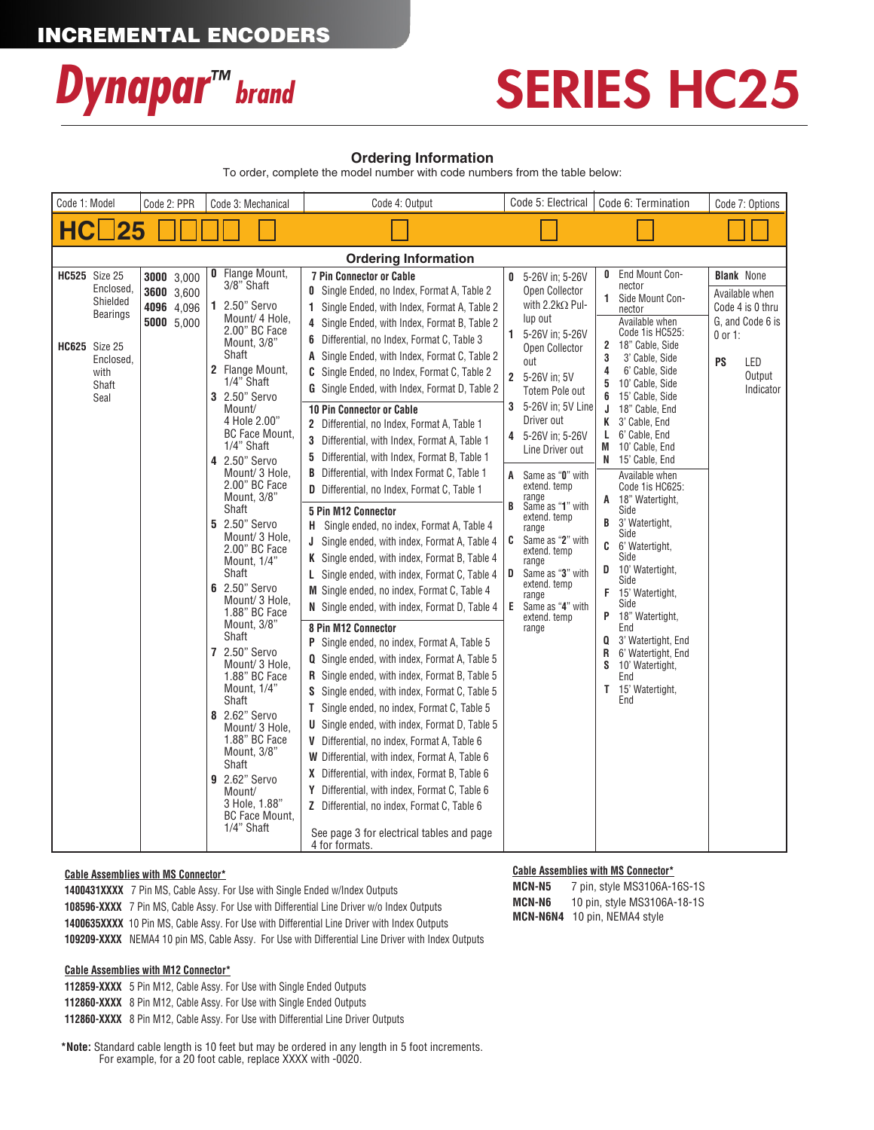

## SERIES HC25

### **Ordering Information**

To order, complete the model number with code numbers from the table below:

| Code 1: Model               |                                                                                                                                | Code 2: PPR                                          | Code 3: Mechanical                                                                                                                                                                                                                                                                                                                                                                                                                                                                                                                                                                                                                                                                                   | Code 4: Output                                                                                                                                                                                                                                                                                                                                                                                                                                                                                                                                                                                                                                                                                                                                                                                                                                                                                                                                                                                                                                                                                                                                                                                                                                                                                                                                                                                                                                                                                                                                                                                                                                                         | Code 5: Electrical                                                                                                                                                                                                                                                                                                                                                                                                                                                                                      | Code 6: Termination                                                                                                                                                                                                                                                                                                                                                                                                                                                                                                                                                                                                                                                                          | Code 7: Options                                                                                                              |  |  |
|-----------------------------|--------------------------------------------------------------------------------------------------------------------------------|------------------------------------------------------|------------------------------------------------------------------------------------------------------------------------------------------------------------------------------------------------------------------------------------------------------------------------------------------------------------------------------------------------------------------------------------------------------------------------------------------------------------------------------------------------------------------------------------------------------------------------------------------------------------------------------------------------------------------------------------------------------|------------------------------------------------------------------------------------------------------------------------------------------------------------------------------------------------------------------------------------------------------------------------------------------------------------------------------------------------------------------------------------------------------------------------------------------------------------------------------------------------------------------------------------------------------------------------------------------------------------------------------------------------------------------------------------------------------------------------------------------------------------------------------------------------------------------------------------------------------------------------------------------------------------------------------------------------------------------------------------------------------------------------------------------------------------------------------------------------------------------------------------------------------------------------------------------------------------------------------------------------------------------------------------------------------------------------------------------------------------------------------------------------------------------------------------------------------------------------------------------------------------------------------------------------------------------------------------------------------------------------------------------------------------------------|---------------------------------------------------------------------------------------------------------------------------------------------------------------------------------------------------------------------------------------------------------------------------------------------------------------------------------------------------------------------------------------------------------------------------------------------------------------------------------------------------------|----------------------------------------------------------------------------------------------------------------------------------------------------------------------------------------------------------------------------------------------------------------------------------------------------------------------------------------------------------------------------------------------------------------------------------------------------------------------------------------------------------------------------------------------------------------------------------------------------------------------------------------------------------------------------------------------|------------------------------------------------------------------------------------------------------------------------------|--|--|
| НC                          | 25                                                                                                                             |                                                      |                                                                                                                                                                                                                                                                                                                                                                                                                                                                                                                                                                                                                                                                                                      |                                                                                                                                                                                                                                                                                                                                                                                                                                                                                                                                                                                                                                                                                                                                                                                                                                                                                                                                                                                                                                                                                                                                                                                                                                                                                                                                                                                                                                                                                                                                                                                                                                                                        |                                                                                                                                                                                                                                                                                                                                                                                                                                                                                                         |                                                                                                                                                                                                                                                                                                                                                                                                                                                                                                                                                                                                                                                                                              |                                                                                                                              |  |  |
| <b>Ordering Information</b> |                                                                                                                                |                                                      |                                                                                                                                                                                                                                                                                                                                                                                                                                                                                                                                                                                                                                                                                                      |                                                                                                                                                                                                                                                                                                                                                                                                                                                                                                                                                                                                                                                                                                                                                                                                                                                                                                                                                                                                                                                                                                                                                                                                                                                                                                                                                                                                                                                                                                                                                                                                                                                                        |                                                                                                                                                                                                                                                                                                                                                                                                                                                                                                         |                                                                                                                                                                                                                                                                                                                                                                                                                                                                                                                                                                                                                                                                                              |                                                                                                                              |  |  |
|                             | <b>HC525</b> Size 25<br>Enclosed,<br>Shielded<br><b>Bearings</b><br><b>HC625</b> Size 25<br>Enclosed,<br>with<br>Shaft<br>Seal | 3000 3,000<br>3600 3,600<br>4096 4,096<br>5000 5,000 | <b>0</b> Flange Mount,<br>3/8" Shaft<br>1 2.50" Servo<br>Mount/ 4 Hole,<br>2.00" BC Face<br>Mount, 3/8"<br>Shaft<br>2 Flange Mount,<br>1/4" Shaft<br>3 2.50" Servo<br>Mount/<br>4 Hole 2.00"<br>BC Face Mount,<br>1/4" Shaft<br>4 2.50" Servo<br>Mount/ 3 Hole,<br>2.00" BC Face<br>Mount, 3/8"<br>Shaft<br>5 2.50" Servo<br>Mount/ 3 Hole,<br>2.00" BC Face<br>Mount, 1/4"<br>Shaft<br>6 2.50" Servo<br>Mount/ 3 Hole,<br>1.88" BC Face<br>Mount, 3/8"<br>Shaft<br>7 2.50" Servo<br>Mount/ 3 Hole,<br>1.88" BC Face<br>Mount, 1/4"<br>Shaft<br>8 2.62" Servo<br>Mount/ 3 Hole,<br>1.88" BC Face<br>Mount, 3/8"<br>Shaft<br>9 2.62" Servo<br>Mount/<br>3 Hole, 1.88"<br>BC Face Mount,<br>1/4" Shaft | 7 Pin Connector or Cable<br>0 Single Ended, no Index, Format A, Table 2<br>1 Single Ended, with Index, Format A, Table 2<br>4 Single Ended, with Index, Format B, Table 2<br>6 Differential, no Index, Format C, Table 3<br>A Single Ended, with Index, Format C, Table 2<br>C Single Ended, no Index, Format C, Table 2<br><b>G</b> Single Ended, with Index, Format D, Table 2<br>10 Pin Connector or Cable<br>2 Differential, no Index, Format A, Table 1<br>3 Differential, with Index, Format A, Table 1<br>5 Differential, with Index, Format B, Table 1<br><b>B</b> Differential, with Index Format C, Table 1<br>D Differential, no Index, Format C, Table 1<br><b>5 Pin M12 Connector</b><br>Single ended, no index, Format A, Table 4<br>Н.<br>J Single ended, with index, Format A, Table 4<br>K Single ended, with index, Format B, Table 4<br>L Single ended, with index, Format C, Table 4<br>M Single ended, no index, Format C, Table 4<br>N Single ended, with index, Format D, Table 4<br>8 Pin M12 Connector<br>P Single ended, no index, Format A, Table 5<br><b>Q</b> Single ended, with index, Format A, Table 5<br><b>R</b> Single ended, with index, Format B, Table 5<br>S Single ended, with index, Format C, Table 5<br>T Single ended, no index, Format C, Table 5<br><b>U</b> Single ended, with index, Format D, Table 5<br>V Differential, no index, Format A, Table 6<br>W Differential, with index, Format A, Table 6<br>X Differential, with index, Format B, Table 6<br>Y Differential, with index, Format C, Table 6<br>Z Differential, no index, Format C, Table 6<br>See page 3 for electrical tables and page<br>4 for formats. | 5-26V in: 5-26V<br>0<br>Open Collector<br>with 2.2kΩ Pul-<br>lup out<br>1 5-26V in: 5-26V<br>Open Collector<br>out<br>2 5-26V in; 5V<br><b>Totem Pole out</b><br>3 5-26V in: 5V Line<br>Driver out<br>5-26V in: 5-26V<br>4<br>Line Driver out<br>Same as "0" with<br>A<br>extend. temp<br>range<br>B<br>Same as "1" with<br>extend. temp<br>range<br>Same as "2" with<br>C<br>extend. temp<br>range<br>Same as "3" with<br>D<br>extend. temp<br>range<br>E<br>Same as "4" with<br>extend. temp<br>range | End Mount Con-<br>0<br>nector<br>$\mathbf{1}$<br>Side Mount Con-<br>nector<br>Available when<br>Code 1is HC525:<br>2 18" Cable, Side<br>3<br>3' Cable, Side<br>6' Cable, Side<br>4<br>10' Cable, Side<br>5<br>15' Cable, Side<br>6<br>18" Cable, End<br>J<br>K 3' Cable, End<br>6' Cable, End<br>L.<br>M 10' Cable, End<br>N 15' Cable, End<br>Available when<br>Code 1is HC625:<br>A 18" Watertight,<br>Side<br>3' Watertight,<br>B<br>Side<br>C<br>6' Watertight,<br>Side<br>10' Watertight,<br>D<br>Side<br>F.<br>15' Watertight,<br>Side<br>18" Watertight,<br>P<br>End<br>3' Watertight, End<br>Q<br>R<br>6' Watertight, End<br>S<br>10' Watertight,<br>End<br>T 15' Watertight,<br>End | <b>Blank</b> None<br>Available when<br>Code 4 is 0 thru<br>G. and Code 6 is<br>$0$ or 1:<br>PS<br>LED<br>Output<br>Indicator |  |  |

#### **Cable Assemblies with MS Connector\***

**1400431XXXX** 7 Pin MS, Cable Assy. For Use with Single Ended w/Index Outputs **108596-XXXX** 7 Pin MS, Cable Assy. For Use with Differential Line Driver w/o Index Outputs **1400635XXXX** 10 Pin MS, Cable Assy. For Use with Differential Line Driver with Index Outputs  **109209-XXXX** NEMA4 10 pin MS, Cable Assy. For Use with Differential Line Driver with Index Outputs

#### **Cable Assemblies with M12 Connector\***

**112859-XXXX** 5 Pin M12, Cable Assy. For Use with Single Ended Outputs **112860-XXXX** 8 Pin M12, Cable Assy. For Use with Single Ended Outputs **112860-XXXX** 8 Pin M12, Cable Assy. For Use with Differential Line Driver Outputs

**\*Note:** Standard cable length is 10 feet but may be ordered in any length in 5 foot increments. For example, for a 20 foot cable, replace XXXX with -0020.

### **Cable Assemblies with MS Connector\***

**MCN-N5** 7 pin, style MS3106A-16S-1S **MCN-N6** 10 pin, style MS3106A-18-1S **MCN-N6N4** 10 pin, NEMA4 style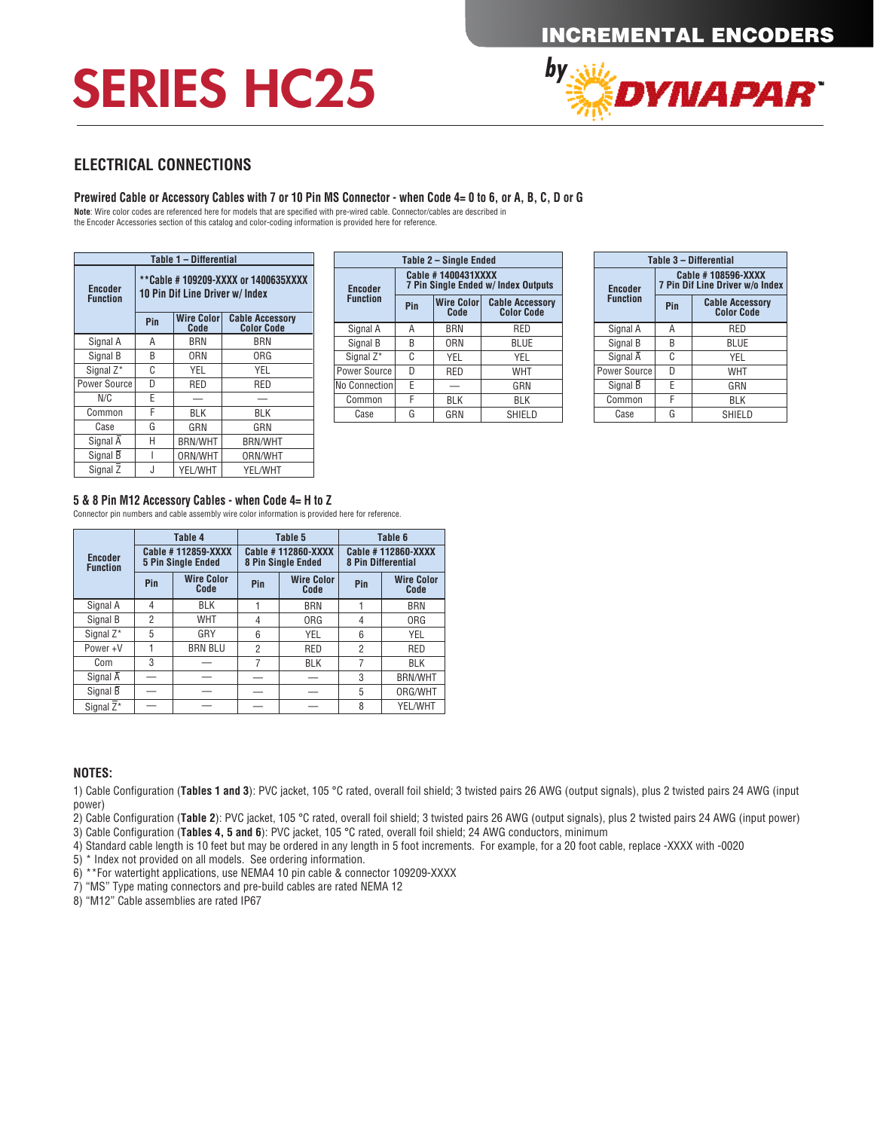## SERIES HC25



### **ELECTRICAL CONNECTIONS**

### **Prewired Cable or Accessory Cables with 7 or 10 Pin MS Connector - when Code 4= 0 to 6, or A, B, C, D or G**

**Note**: Wire color codes are referenced here for models that are specified with pre-wired cable. Connector/cables are described in the Encoder Accessories section of this catalog and color-coding information is provided here for reference.

| Table 1 - Differential            |                                                                                                                                                           |                |                |  |  |  |  |  |
|-----------------------------------|-----------------------------------------------------------------------------------------------------------------------------------------------------------|----------------|----------------|--|--|--|--|--|
| <b>Encoder</b><br><b>Function</b> | **Cable #109209-XXXX or 1400635XXXX<br>10 Pin Dif Line Driver w/ Index<br><b>Wire Color</b><br><b>Cable Accessory</b><br>Pin<br><b>Color Code</b><br>Code |                |                |  |  |  |  |  |
|                                   |                                                                                                                                                           |                |                |  |  |  |  |  |
| Signal A                          | А                                                                                                                                                         | <b>BRN</b>     | BRN            |  |  |  |  |  |
| Signal B                          | R                                                                                                                                                         | ORN            | 0RG            |  |  |  |  |  |
| Signal Z*                         | C                                                                                                                                                         | <b>YEL</b>     | YEL            |  |  |  |  |  |
| Power Source                      | D                                                                                                                                                         | RED            | RED            |  |  |  |  |  |
| N/C                               | F                                                                                                                                                         |                |                |  |  |  |  |  |
| Common                            | F                                                                                                                                                         | BLK            | BLK            |  |  |  |  |  |
| Case                              | G                                                                                                                                                         | GRN            | GRN            |  |  |  |  |  |
| Signal $\overline{A}$             | Н                                                                                                                                                         | <b>BRN/WHT</b> | <b>BRN/WHT</b> |  |  |  |  |  |
| Signal B                          |                                                                                                                                                           | ORN/WHT        | ORN/WHT        |  |  |  |  |  |
| Signal Z                          | J                                                                                                                                                         | YEL/WHT        | YEL/WHT        |  |  |  |  |  |

|                                 | Table 1 - Differential |                        | Table 2 - Single Ended |                                                                  |                    |                                             | Table 3 - Differential |                                                       |     |                                             |
|---------------------------------|------------------------|------------------------|------------------------|------------------------------------------------------------------|--------------------|---------------------------------------------|------------------------|-------------------------------------------------------|-----|---------------------------------------------|
| 10 Pin Dif Line Driver w/ Index |                        | <b>Encoder</b>         |                        | Cable #1400431XXXX<br><b>7 Pin Single Ended w/ Index Outputs</b> |                    |                                             | <b>Encoder</b>         | Cable #108596-XXXX<br>7 Pin Dif Line Driver w/o Index |     |                                             |
| Pin                             | <b>Wire Color</b>      | <b>Cable Accessory</b> | <b>Function</b>        | Pin                                                              | Wire Color<br>Code | <b>Cable Accessory</b><br><b>Color Code</b> |                        | <b>Function</b>                                       | Pin | <b>Cable Accessory</b><br><b>Color Code</b> |
|                                 | Code                   | <b>Color Code</b>      | Signal A               | A                                                                | <b>BRN</b>         | RED                                         |                        | Signal A                                              | A   | <b>RED</b>                                  |
| A                               | BRN                    | BRN                    | Signal B               | B                                                                | 0 <sub>RN</sub>    | <b>BLUE</b>                                 |                        | Signal B                                              | B   | <b>BLUE</b>                                 |
| B                               | ORN                    | 0 <sub>RG</sub>        | Signal Z <sup>*</sup>  | C                                                                | <b>YEL</b>         | <b>YEL</b>                                  |                        | Signal A                                              | C   | YEL                                         |
| C.                              | YEL                    | YEL                    | Power Source I         | D                                                                | <b>RED</b>         | <b>WHT</b>                                  |                        | Power Source                                          | D   | WHT                                         |
|                                 | <b>RED</b>             | RED                    | No Connection          | E                                                                |                    | GRN                                         |                        | Signal B                                              |     | GRN                                         |
|                                 |                        |                        | Common                 | н                                                                | BLK                | <b>BLK</b>                                  |                        | Common                                                |     | <b>BLK</b>                                  |
|                                 | BLK                    | <b>BLK</b>             | Case                   | G                                                                | GRN                | SHIELD                                      |                        | Case                                                  | G   | <b>SHIELD</b>                               |

| Table 3 - Differential |                                                       |                                             |  |  |  |  |
|------------------------|-------------------------------------------------------|---------------------------------------------|--|--|--|--|
| <b>Encoder</b>         | Cable #108596-XXXX<br>7 Pin Dif Line Driver w/o Index |                                             |  |  |  |  |
| <b>Function</b>        | Pin                                                   | <b>Cable Accessory</b><br><b>Color Code</b> |  |  |  |  |
| Signal A               | А                                                     | RED                                         |  |  |  |  |
| Signal B               | B                                                     | BLUE                                        |  |  |  |  |
| Signal A               | C                                                     | YEL                                         |  |  |  |  |
| Power Source           | D                                                     | <b>WHT</b>                                  |  |  |  |  |
| Signal B               | F                                                     | GRN                                         |  |  |  |  |
| Common                 | F                                                     | <b>BLK</b>                                  |  |  |  |  |
| Case                   | G                                                     | SHIELD                                      |  |  |  |  |

#### **5 & 8 Pin M12 Accessory Cables - when Code 4= H to Z**

Connector pin numbers and cable assembly wire color information is provided here for reference.

|                                   |                | Table 4                                         |     | Table 5                                         | Table 6                                         |                           |  |
|-----------------------------------|----------------|-------------------------------------------------|-----|-------------------------------------------------|-------------------------------------------------|---------------------------|--|
| <b>Encoder</b><br><b>Function</b> |                | Cable #112859-XXXX<br><b>5 Pin Single Ended</b> |     | Cable #112860-XXXX<br><b>8 Pin Single Ended</b> | Cable #112860-XXXX<br><b>8 Pin Differential</b> |                           |  |
|                                   | Pin            | <b>Wire Color</b><br>Code                       | Pin | <b>Wire Color</b><br>Code                       | Pin                                             | <b>Wire Color</b><br>Code |  |
| Signal A                          | 4              | <b>BLK</b>                                      |     | <b>BRN</b>                                      |                                                 | <b>BRN</b>                |  |
| Signal B                          | $\overline{2}$ | <b>WHT</b>                                      | 4   | ORG                                             | 4                                               | ORG                       |  |
| Signal Z <sup>*</sup>             | 5              | GRY                                             | 6   | YEL                                             | 6                                               | <b>YEL</b>                |  |
| Power+V                           |                | <b>BRN BLU</b>                                  | 2   | <b>RED</b>                                      | $\overline{2}$                                  | <b>RED</b>                |  |
| Com                               | 3              |                                                 | 7   | <b>BLK</b>                                      | 7                                               | <b>BLK</b>                |  |
| Signal $\overline{A}$             |                |                                                 |     |                                                 | 3                                               | <b>BRN/WHT</b>            |  |
| Signal B                          |                |                                                 |     |                                                 | 5                                               | ORG/WHT                   |  |
| Signal Z <sup>*</sup>             |                |                                                 |     |                                                 | 8                                               | YEL/WHT                   |  |

### **NOTES:**

1) Cable Configuration (**Tables 1 and 3**): PVC jacket, 105 °C rated, overall foil shield; 3 twisted pairs 26 AWG (output signals), plus 2 twisted pairs 24 AWG (input power)

2) Cable Configuration (**Table 2**): PVC jacket, 105 °C rated, overall foil shield; 3 twisted pairs 26 AWG (output signals), plus 2 twisted pairs 24 AWG (input power)

3) Cable Configuration (**Tables 4, 5 and 6**): PVC jacket, 105 °C rated, overall foil shield; 24 AWG conductors, minimum

4) Standard cable length is 10 feet but may be ordered in any length in 5 foot increments. For example, for a 20 foot cable, replace -XXXX with -0020

5) \* Index not provided on all models. See ordering information.

6) \*\*For watertight applications, use NEMA4 10 pin cable & connector 109209-XXXX

7) "MS" Type mating connectors and pre-build cables are rated NEMA 12

8) "M12" Cable assemblies are rated IP67